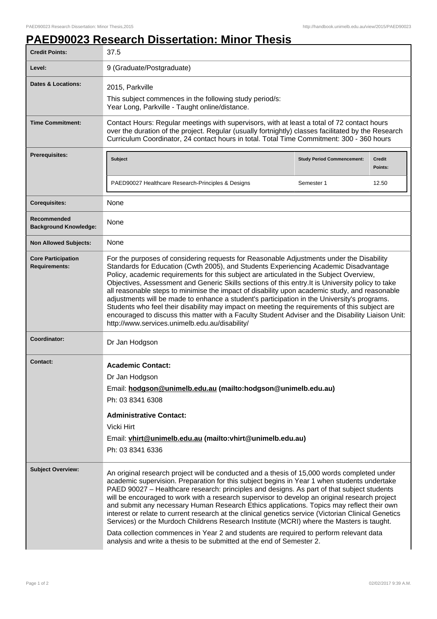## **PAED90023 Research Dissertation: Minor Thesis**

| <b>Credit Points:</b>                             | 37.5                                                                                                                                                                                                                                                                                                                                                                                                                                                                                                                                                                                                                                                                                                                                                                                                                                                           |                                   |                   |
|---------------------------------------------------|----------------------------------------------------------------------------------------------------------------------------------------------------------------------------------------------------------------------------------------------------------------------------------------------------------------------------------------------------------------------------------------------------------------------------------------------------------------------------------------------------------------------------------------------------------------------------------------------------------------------------------------------------------------------------------------------------------------------------------------------------------------------------------------------------------------------------------------------------------------|-----------------------------------|-------------------|
| Level:                                            | 9 (Graduate/Postgraduate)                                                                                                                                                                                                                                                                                                                                                                                                                                                                                                                                                                                                                                                                                                                                                                                                                                      |                                   |                   |
| <b>Dates &amp; Locations:</b>                     | 2015, Parkville<br>This subject commences in the following study period/s:<br>Year Long, Parkville - Taught online/distance.                                                                                                                                                                                                                                                                                                                                                                                                                                                                                                                                                                                                                                                                                                                                   |                                   |                   |
| <b>Time Commitment:</b>                           | Contact Hours: Regular meetings with supervisors, with at least a total of 72 contact hours<br>over the duration of the project. Regular (usually fortnightly) classes facilitated by the Research<br>Curriculum Coordinator, 24 contact hours in total. Total Time Commitment: 300 - 360 hours                                                                                                                                                                                                                                                                                                                                                                                                                                                                                                                                                                |                                   |                   |
| <b>Prerequisites:</b>                             | <b>Subject</b>                                                                                                                                                                                                                                                                                                                                                                                                                                                                                                                                                                                                                                                                                                                                                                                                                                                 | <b>Study Period Commencement:</b> | Credit<br>Points: |
|                                                   | PAED90027 Healthcare Research-Principles & Designs                                                                                                                                                                                                                                                                                                                                                                                                                                                                                                                                                                                                                                                                                                                                                                                                             | Semester 1                        | 12.50             |
| <b>Corequisites:</b>                              | None                                                                                                                                                                                                                                                                                                                                                                                                                                                                                                                                                                                                                                                                                                                                                                                                                                                           |                                   |                   |
| Recommended<br><b>Background Knowledge:</b>       | None                                                                                                                                                                                                                                                                                                                                                                                                                                                                                                                                                                                                                                                                                                                                                                                                                                                           |                                   |                   |
| <b>Non Allowed Subjects:</b>                      | None                                                                                                                                                                                                                                                                                                                                                                                                                                                                                                                                                                                                                                                                                                                                                                                                                                                           |                                   |                   |
| <b>Core Participation</b><br><b>Requirements:</b> | For the purposes of considering requests for Reasonable Adjustments under the Disability<br>Standards for Education (Cwth 2005), and Students Experiencing Academic Disadvantage<br>Policy, academic requirements for this subject are articulated in the Subject Overview,<br>Objectives, Assessment and Generic Skills sections of this entry. It is University policy to take<br>all reasonable steps to minimise the impact of disability upon academic study, and reasonable<br>adjustments will be made to enhance a student's participation in the University's programs.<br>Students who feel their disability may impact on meeting the requirements of this subject are<br>encouraged to discuss this matter with a Faculty Student Adviser and the Disability Liaison Unit:<br>http://www.services.unimelb.edu.au/disability/                       |                                   |                   |
| Coordinator:                                      | Dr Jan Hodgson                                                                                                                                                                                                                                                                                                                                                                                                                                                                                                                                                                                                                                                                                                                                                                                                                                                 |                                   |                   |
| <b>Contact:</b>                                   | <b>Academic Contact:</b><br>Dr Jan Hodgson<br>Email: hodgson@unimelb.edu.au (mailto:hodgson@unimelb.edu.au)<br>Ph: 03 8341 6308<br><b>Administrative Contact:</b><br>Vicki Hirt<br>Email: vhirt@unimelb.edu.au (mailto:vhirt@unimelb.edu.au)<br>Ph: 03 8341 6336                                                                                                                                                                                                                                                                                                                                                                                                                                                                                                                                                                                               |                                   |                   |
| <b>Subject Overview:</b>                          | An original research project will be conducted and a thesis of 15,000 words completed under<br>academic supervision. Preparation for this subject begins in Year 1 when students undertake<br>PAED 90027 - Healthcare research: principles and designs. As part of that subject students<br>will be encouraged to work with a research supervisor to develop an original research project<br>and submit any necessary Human Research Ethics applications. Topics may reflect their own<br>interest or relate to current research at the clinical genetics service (Victorian Clinical Genetics<br>Services) or the Murdoch Childrens Research Institute (MCRI) where the Masters is taught.<br>Data collection commences in Year 2 and students are required to perform relevant data<br>analysis and write a thesis to be submitted at the end of Semester 2. |                                   |                   |